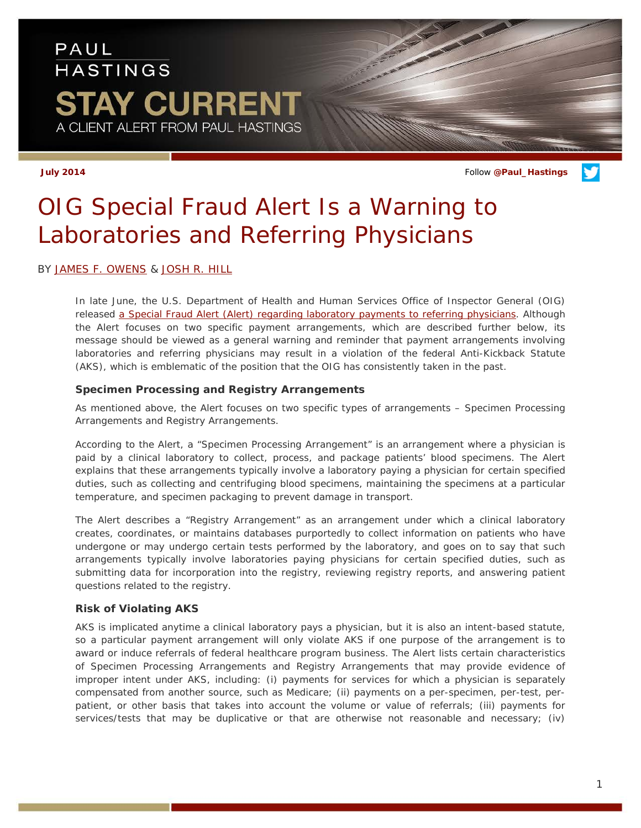## PAUL **HASTINGS STAY CURRENT** A CLIENT ALERT FROM PAUL HASTINGS

**July 2014** Follow **[@Paul\\_Hastings](http://twitter.com/Paul_Hastings)**

# *OIG Special Fraud Alert Is a Warning to Laboratories and Referring Physicians*

BY [JAMES F. OWENS](http://paulhastings.com/Professionals/details/jamesowens/) & [JOSH R. HILL](http://paulhastings.com/Professionals/details/joshuahill/)

In late June, the U.S. Department of Health and Human Services Office of Inspector General (OIG) released [a Special Fraud Alert \(Alert\) regarding laboratory payments to referring physicians.](https://oig.hhs.gov/fraud/docs/alertsandbulletins/2014/OIG_SFA_Laboratory_Payments_06252014.pdf) Although the Alert focuses on two specific payment arrangements, which are described further below, its message should be viewed as a general warning and reminder that payment arrangements involving laboratories and referring physicians may result in a violation of the federal Anti-Kickback Statute (AKS), which is emblematic of the position that the OIG has consistently taken in the past.

#### **Specimen Processing and Registry Arrangements**

As mentioned above, the Alert focuses on two specific types of arrangements – Specimen Processing Arrangements and Registry Arrangements.

According to the Alert, a "Specimen Processing Arrangement" is an arrangement where a physician is paid by a clinical laboratory to collect, process, and package patients' blood specimens. The Alert explains that these arrangements typically involve a laboratory paying a physician for certain specified duties, such as collecting and centrifuging blood specimens, maintaining the specimens at a particular temperature, and specimen packaging to prevent damage in transport.

The Alert describes a "Registry Arrangement" as an arrangement under which a clinical laboratory creates, coordinates, or maintains databases purportedly to collect information on patients who have undergone or may undergo certain tests performed by the laboratory, and goes on to say that such arrangements typically involve laboratories paying physicians for certain specified duties, such as submitting data for incorporation into the registry, reviewing registry reports, and answering patient questions related to the registry.

### **Risk of Violating AKS**

AKS is implicated anytime a clinical laboratory pays a physician, but it is also an intent-based statute, so a particular payment arrangement will only violate AKS if one purpose of the arrangement is to award or induce referrals of federal healthcare program business. The Alert lists certain characteristics of Specimen Processing Arrangements and Registry Arrangements that may provide evidence of improper intent under AKS, including: (i) payments for services for which a physician is separately compensated from another source, such as Medicare; (ii) payments on a per-specimen, per-test, perpatient, or other basis that takes into account the volume or value of referrals; (iii) payments for services/tests that may be duplicative or that are otherwise not reasonable and necessary; (iv)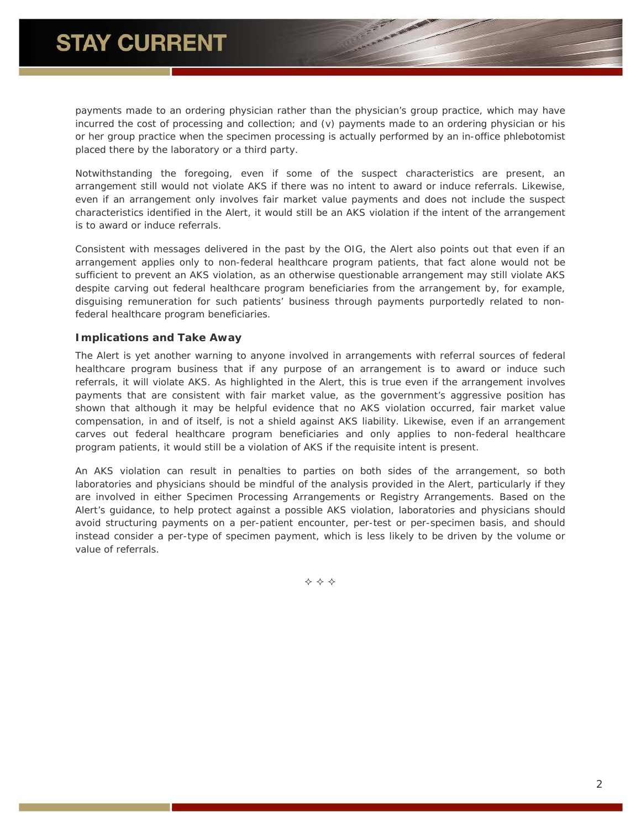payments made to an ordering physician rather than the physician's group practice, which may have incurred the cost of processing and collection; and (v) payments made to an ordering physician or his or her group practice when the specimen processing is actually performed by an in-office phlebotomist placed there by the laboratory or a third party.

Notwithstanding the foregoing, even if some of the suspect characteristics are present, an arrangement still would not violate AKS if there was no intent to award or induce referrals. Likewise, even if an arrangement only involves fair market value payments and does not include the suspect characteristics identified in the Alert, it would still be an AKS violation if the intent of the arrangement is to award or induce referrals.

Consistent with messages delivered in the past by the OIG, the Alert also points out that even if an arrangement applies only to non-federal healthcare program patients, that fact alone would not be sufficient to prevent an AKS violation, as an otherwise questionable arrangement may still violate AKS despite carving out federal healthcare program beneficiaries from the arrangement by, for example, disguising remuneration for such patients' business through payments purportedly related to nonfederal healthcare program beneficiaries.

#### **Implications and Take Away**

The Alert is yet another warning to anyone involved in arrangements with referral sources of federal healthcare program business that if any purpose of an arrangement is to award or induce such referrals, it will violate AKS. As highlighted in the Alert, this is true even if the arrangement involves payments that are consistent with fair market value, as the government's aggressive position has shown that although it may be helpful evidence that no AKS violation occurred, fair market value compensation, in and of itself, is not a shield against AKS liability. Likewise, even if an arrangement carves out federal healthcare program beneficiaries and only applies to non-federal healthcare program patients, it would still be a violation of AKS if the requisite intent is present.

An AKS violation can result in penalties to parties on both sides of the arrangement, so both laboratories and physicians should be mindful of the analysis provided in the Alert, particularly if they are involved in either Specimen Processing Arrangements or Registry Arrangements. Based on the Alert's guidance, to help protect against a possible AKS violation, laboratories and physicians should avoid structuring payments on a per-patient encounter, per-test or per-specimen basis, and should instead consider a per-type of specimen payment, which is less likely to be driven by the volume or value of referrals.

 $\Leftrightarrow$   $\Leftrightarrow$   $\Leftrightarrow$